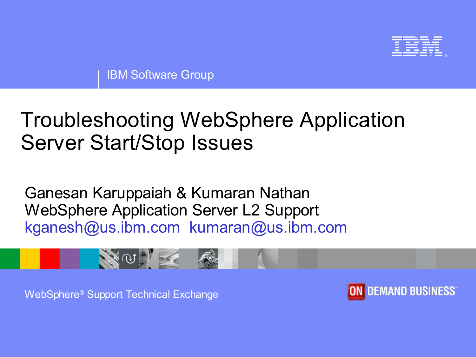

#### $\uparrow$ <br> $\uparrow$   $\uparrow$   $\uparrow$   $\uparrow$   $\uparrow$   $\uparrow$   $\uparrow$   $\uparrow$   $\uparrow$   $\uparrow$   $\uparrow$   $\uparrow$   $\uparrow$   $\uparrow$   $\uparrow$   $\uparrow$   $\uparrow$   $\uparrow$   $\uparrow$   $\uparrow$   $\uparrow$   $\uparrow$   $\uparrow$   $\uparrow$   $\uparrow$   $\uparrow$   $\uparrow$   $\uparrow$   $\uparrow$   $\uparrow$   $\uparrow$   $\uparrow$   $\uparrow$   $\uparrow$   $\uparrow$   $\uparrow$  $\mathbf{u}$  $\mathbf{I}%$  $\begin{pmatrix} 1 & 0 \\ 0 & 0 \end{pmatrix}$  (  $\begin{pmatrix} 1 & 0 \\ 0 & 0 \end{pmatrix}$  ,  $\begin{pmatrix} 1 & 0 \\ 0 & 0 \end{pmatrix}$  $\alpha$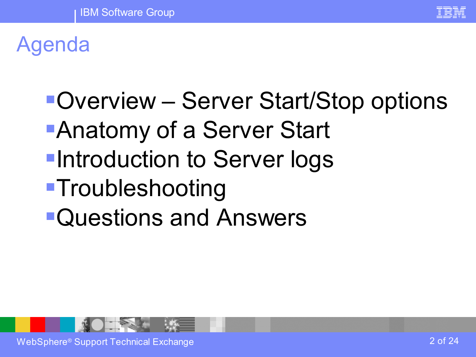

Agenda

# Overview – Server Start/Stop options Anatomy of a Server Start **-Introduction to Server logs Troubleshooting** Questions and Answers

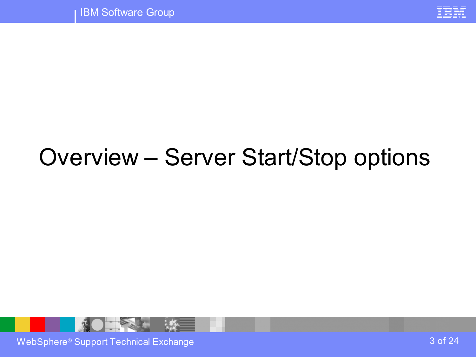

## Overview – Server Start/Stop options

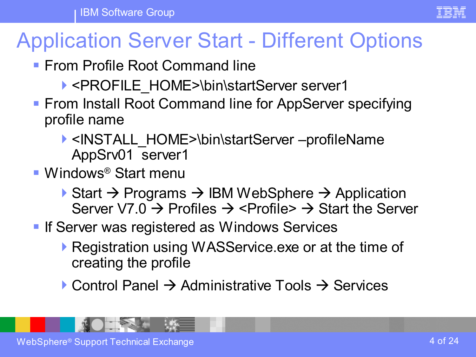### Application Server Start - Different Options

- **From Profile Root Command line** 
	- ▶ <PROFILE\_HOME>\bin\startServer server1
- **From Install Root Command line for AppServer specifying** profile name
	- <INSTALL\_HOME>\bin\startServer –profileName AppSrv01 server1
- Windows<sup>®</sup> Start menu
	- Start  $\rightarrow$  Programs  $\rightarrow$  IBM WebSphere  $\rightarrow$  Application Server V7.0  $\rightarrow$  Profiles  $\rightarrow$  <Profile>  $\rightarrow$  Start the Server
- **If Server was registered as Windows Services** 
	- ▶ Registration using WASService.exe or at the time of creating the profile
	- $\triangleright$  Control Panel  $\rightarrow$  Administrative Tools  $\rightarrow$  Services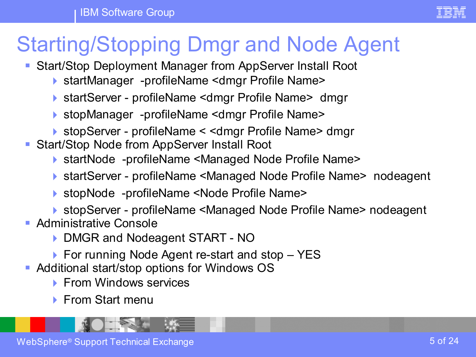### Starting/Stopping Dmgr and Node Agent

- Start/Stop Deployment Manager from AppServer Install Root
	- ▶ startManager -profileName <dmgr Profile Name>
	- startServer profileName <dmgr Profile Name> dmgr
	- ▶ stopManager -profileName <dmgr Profile Name>
	- ▶ stopServer profileName < <dmgr Profile Name> dmgr
- Start/Stop Node from AppServer Install Root
	- ▶ startNode -profileName <Managed Node Profile Name>
	- ▶ startServer profileName <Managed Node Profile Name> nodeagent
	- ▶ stopNode -profileName <Node Profile Name>
	- ▶ stopServer profileName <Managed Node Profile Name> nodeagent
- **Administrative Console** 
	- ▶ DMGR and Nodeagent START NO
	- ▶ For running Node Agent re-start and stop YES
- Additional start/stop options for Windows OS
	- **From Windows services**
	- ▶ From Start menu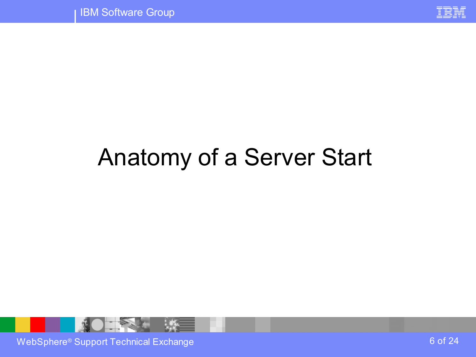

# Anatomy of a Server Start



WebSphere ® Support Technical Exchange 6 of 24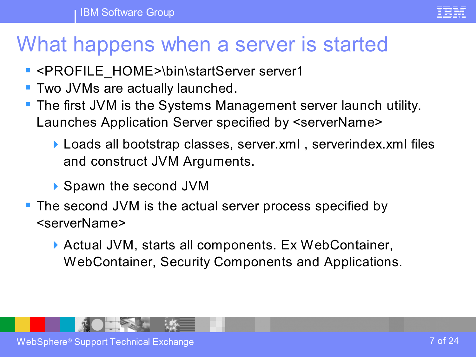### What happens when a server is started

- **<PROFILE\_HOME>\bin\startServer server1**
- **Two JVMs are actually launched.**
- **The first JVM is the Systems Management server launch utility.** Launches Application Server specified by <serverName>
	- ▶ Loads all bootstrap classes, server.xml, serverindex.xml files and construct JVM Arguments.
	- ▶ Spawn the second JVM
- **The second JVM is the actual server process specified by** <serverName>
	- ▶ Actual JVM, starts all components. Ex WebContainer, WebContainer, Security Components and Applications.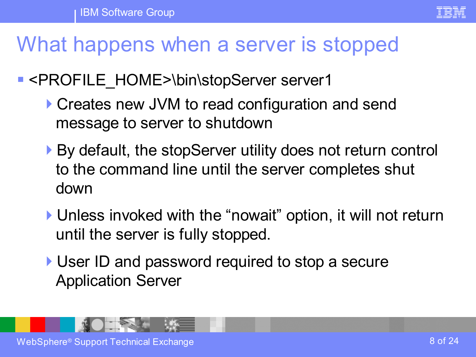

### What happens when a server is stopped

#### **EXPROFILE\_HOME>\bin\stopServer server1**

- ▶ Creates new JVM to read configuration and send message to server to shutdown
- ▶ By default, the stopServer utility does not return control to the command line until the server completes shut down
- Unless invoked with the "nowait" option, it will not return until the server is fully stopped.
- ▶ User ID and password required to stop a secure Application Server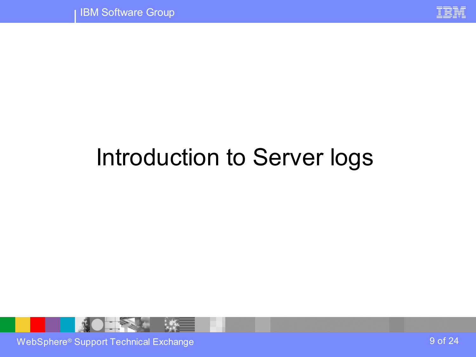

# Introduction to Server logs

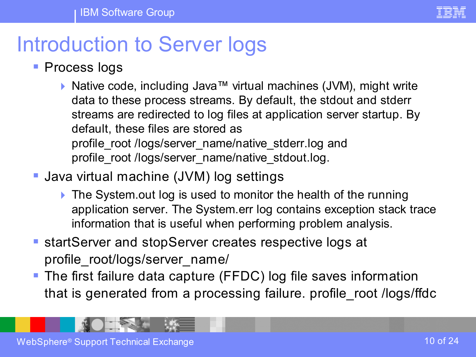

### Introduction to Server logs

- Process logs
	- D Native code, including Java™ virtual machines (JVM), might write data to these process streams. By default, the stdout and stderr streams are redirected to log files at application server startup. By default, these files are stored as profile\_root /logs/server\_name/native\_stderr.log and profile\_root /logs/server\_name/native\_stdout.log.
- **Java virtual machine (JVM) log settings** 
	- The System.out log is used to monitor the health of the running application server. The System.err log contains exception stack trace information that is useful when performing problem analysis.
- **StartServer and stopServer creates respective logs at** profile\_root/logs/server\_name/
- The first failure data capture (FFDC) log file saves information that is generated from a processing failure. profile root /logs/ffdc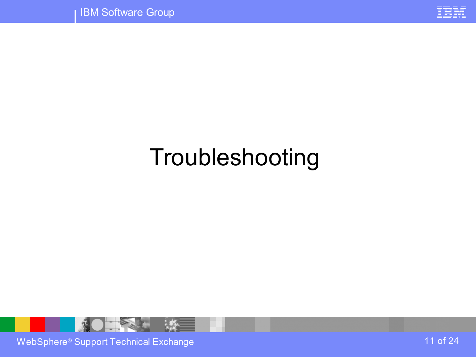

# Troubleshooting

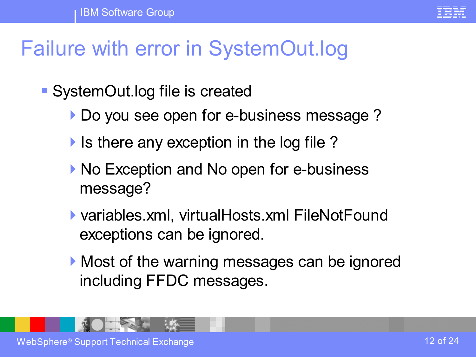## Failure with error in SystemOut.log

- SystemOut.log file is created
	- Do you see open for e-business message?
	- If is there any exception in the log file ?
	- ▶ No Exception and No open for e-business message?
	- ▶ variables.xml, virtualHosts.xml FileNotFound exceptions can be ignored.
	- Most of the warning messages can be ignored including FFDC messages.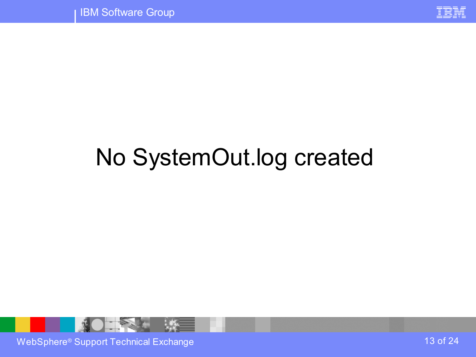

## No SystemOut.log created

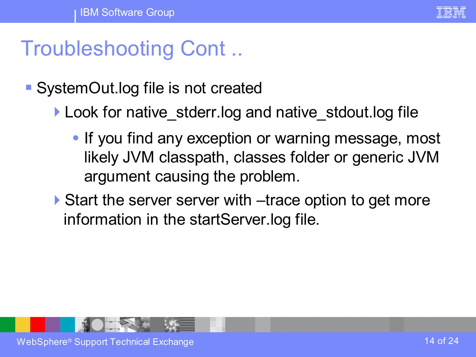

## Troubleshooting Cont ..

- SystemOut.log file is not created
	- Look for native stderr.log and native stdout.log file
		- If you find any exception or warning message, most likely JVM classpath, classes folder or generic JVM argument causing the problem.
	- ▶ Start the server server with –trace option to get more information in the startServer.log file.

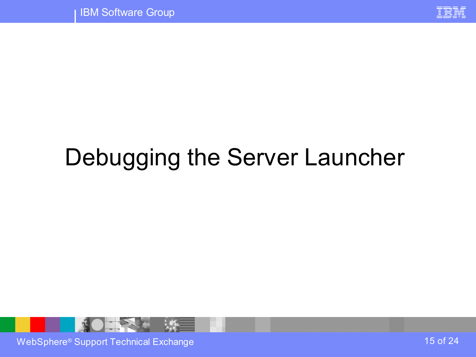

# Debugging the Server Launcher

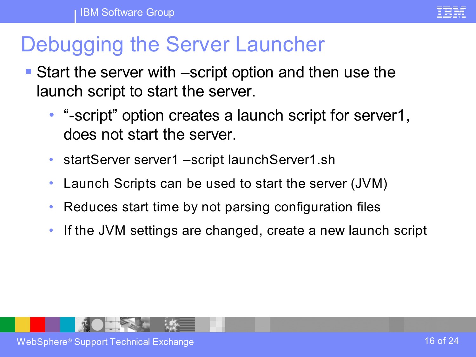## Debugging the Server Launcher

- Start the server with –script option and then use the launch script to start the server.
	- "-script" option creates a launch script for server1, does not start the server.
	- startServer server1 –script launchServer1.sh
	- Launch Scripts can be used to start the server (JVM)
	- Reduces start time by not parsing configuration files
	- If the JVM settings are changed, create a new launch script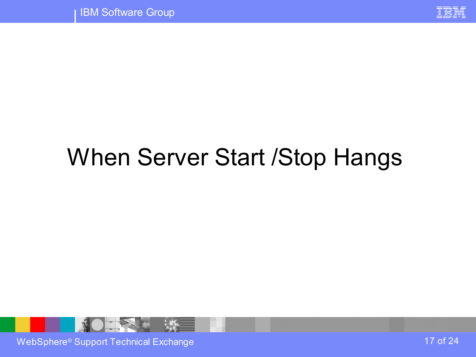

# When Server Start /Stop Hangs

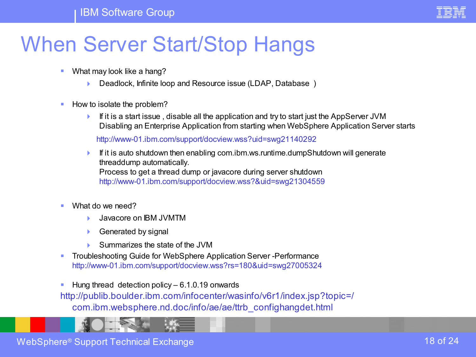

#### n.



 $Zc$  $\frac{9}{6}$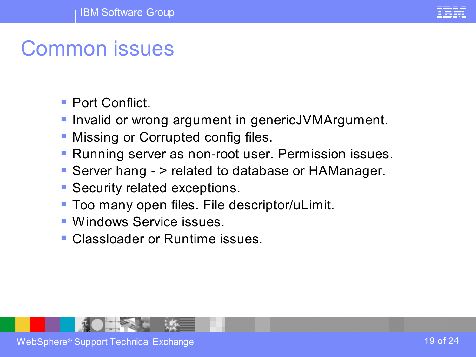## Common issues

- **Port Conflict.**
- **Invalid or wrong argument in genericJVMArgument.**
- **Missing or Corrupted config files.**
- **Running server as non-root user. Permission issues.**
- Server hang > related to database or HAManager.
- **Security related exceptions.**
- **Too many open files. File descriptor/uLimit.**
- **Windows Service issues.**
- Classloader or Runtime issues.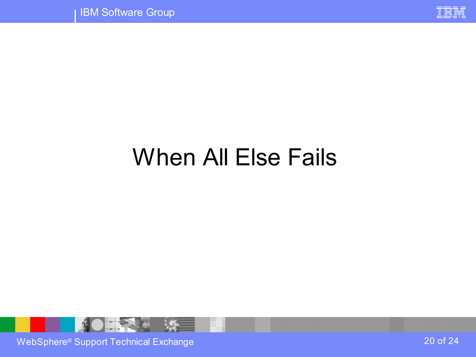

## When All Else Fails

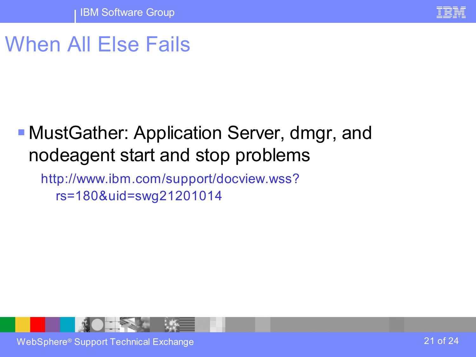

3

#### $) +$ " ) + q  $\mathbf{H}$  $+$  $+$ q (  $"$  (  $"$  +  $m$ r Zc Y! +r %Z%YZYZ\*

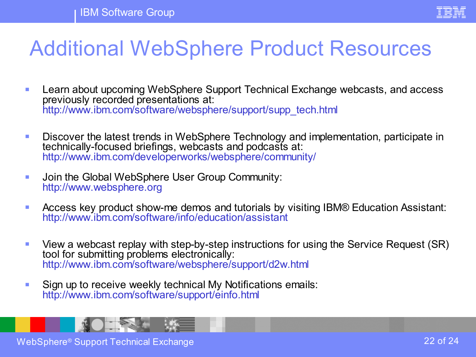

 $\frac{9}{8}$  $\frac{0}{6}$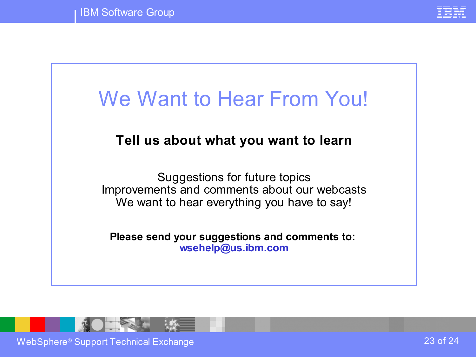